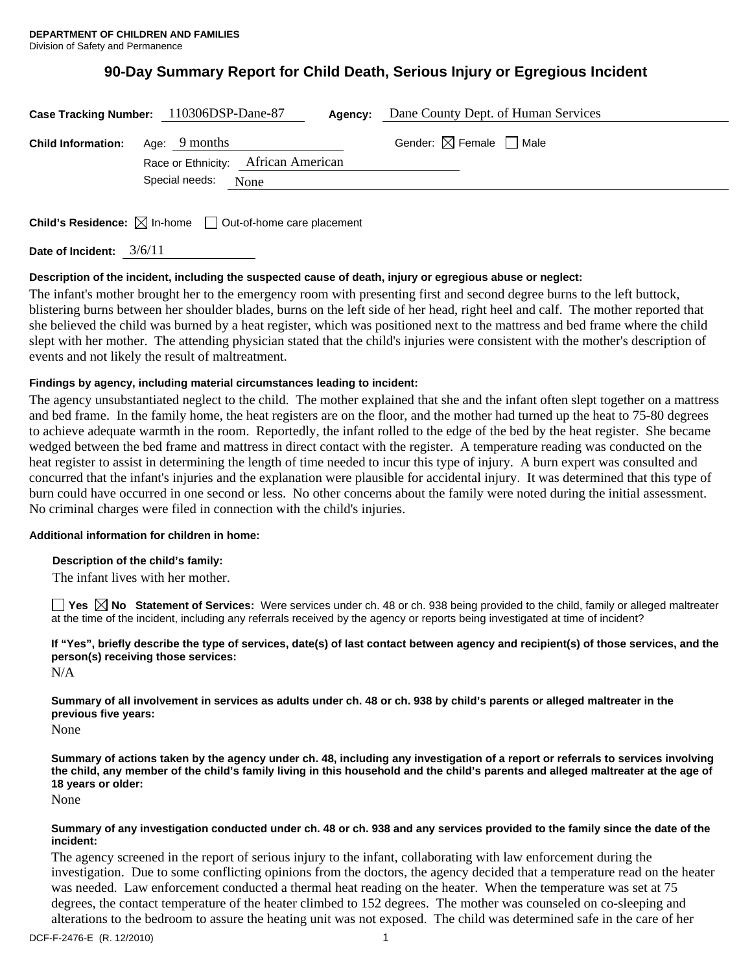# **90-Day Summary Report for Child Death, Serious Injury or Egregious Incident**

| <b>Agency:</b> Dane County Dept. of Human Services<br>Case Tracking Number: 110306DSP-Dane-87 |                                                                                 |                                        |
|-----------------------------------------------------------------------------------------------|---------------------------------------------------------------------------------|----------------------------------------|
| <b>Child Information:</b>                                                                     | Age: 9 months<br>Race or Ethnicity: African American<br>Special needs:<br>None  | Gender: $\boxtimes$ Female $\Box$ Male |
|                                                                                               | <b>Child's Residence:</b> $\boxtimes$ In-home $\Box$ Out-of-home care placement |                                        |

**Date of Incident:** 3/6/11

# **Description of the incident, including the suspected cause of death, injury or egregious abuse or neglect:**

The infant's mother brought her to the emergency room with presenting first and second degree burns to the left buttock, blistering burns between her shoulder blades, burns on the left side of her head, right heel and calf. The mother reported that she believed the child was burned by a heat register, which was positioned next to the mattress and bed frame where the child slept with her mother. The attending physician stated that the child's injuries were consistent with the mother's description of events and not likely the result of maltreatment.

# **Findings by agency, including material circumstances leading to incident:**

The agency unsubstantiated neglect to the child. The mother explained that she and the infant often slept together on a mattress and bed frame. In the family home, the heat registers are on the floor, and the mother had turned up the heat to 75-80 degrees to achieve adequate warmth in the room. Reportedly, the infant rolled to the edge of the bed by the heat register. She became wedged between the bed frame and mattress in direct contact with the register. A temperature reading was conducted on the heat register to assist in determining the length of time needed to incur this type of injury. A burn expert was consulted and concurred that the infant's injuries and the explanation were plausible for accidental injury. It was determined that this type of burn could have occurred in one second or less. No other concerns about the family were noted during the initial assessment. No criminal charges were filed in connection with the child's injuries.

## **Additional information for children in home:**

## **Description of the child's family:**

The infant lives with her mother.

**Yes No Statement of Services:** Were services under ch. 48 or ch. 938 being provided to the child, family or alleged maltreater at the time of the incident, including any referrals received by the agency or reports being investigated at time of incident?

# **If "Yes", briefly describe the type of services, date(s) of last contact between agency and recipient(s) of those services, and the person(s) receiving those services:**

 $N/A$ 

**Summary of all involvement in services as adults under ch. 48 or ch. 938 by child's parents or alleged maltreater in the previous five years:** 

None

**Summary of actions taken by the agency under ch. 48, including any investigation of a report or referrals to services involving the child, any member of the child's family living in this household and the child's parents and alleged maltreater at the age of 18 years or older:** 

None

#### **Summary of any investigation conducted under ch. 48 or ch. 938 and any services provided to the family since the date of the incident:**

The agency screened in the report of serious injury to the infant, collaborating with law enforcement during the investigation. Due to some conflicting opinions from the doctors, the agency decided that a temperature read on the heater was needed. Law enforcement conducted a thermal heat reading on the heater. When the temperature was set at 75 degrees, the contact temperature of the heater climbed to 152 degrees. The mother was counseled on co-sleeping and alterations to the bedroom to assure the heating unit was not exposed. The child was determined safe in the care of her